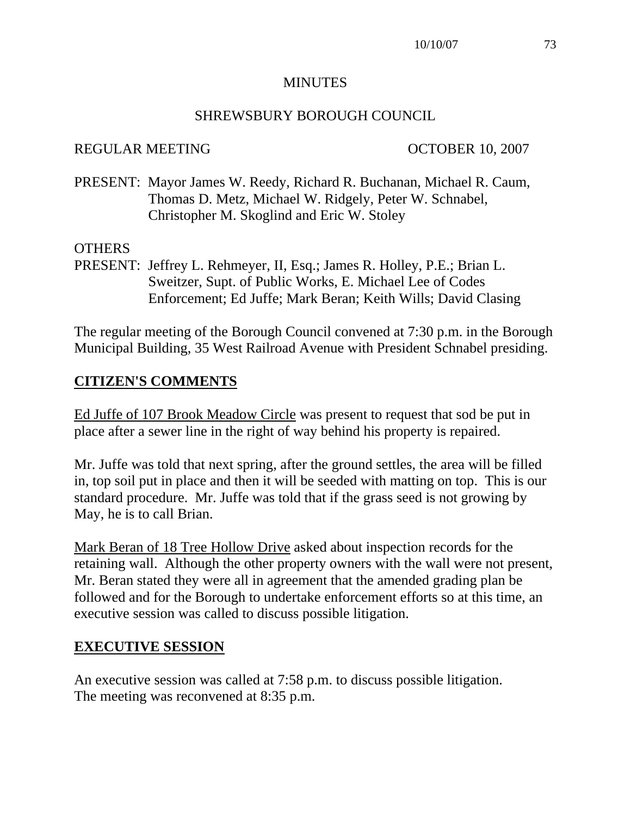#### MINUTES

#### SHREWSBURY BOROUGH COUNCIL

#### REGULAR MEETING OCTOBER 10, 2007

PRESENT: Mayor James W. Reedy, Richard R. Buchanan, Michael R. Caum, Thomas D. Metz, Michael W. Ridgely, Peter W. Schnabel, Christopher M. Skoglind and Eric W. Stoley

#### **OTHERS**

PRESENT: Jeffrey L. Rehmeyer, II, Esq.; James R. Holley, P.E.; Brian L. Sweitzer, Supt. of Public Works, E. Michael Lee of Codes Enforcement; Ed Juffe; Mark Beran; Keith Wills; David Clasing

The regular meeting of the Borough Council convened at 7:30 p.m. in the Borough Municipal Building, 35 West Railroad Avenue with President Schnabel presiding.

### **CITIZEN'S COMMENTS**

Ed Juffe of 107 Brook Meadow Circle was present to request that sod be put in place after a sewer line in the right of way behind his property is repaired.

Mr. Juffe was told that next spring, after the ground settles, the area will be filled in, top soil put in place and then it will be seeded with matting on top. This is our standard procedure. Mr. Juffe was told that if the grass seed is not growing by May, he is to call Brian.

Mark Beran of 18 Tree Hollow Drive asked about inspection records for the retaining wall. Although the other property owners with the wall were not present, Mr. Beran stated they were all in agreement that the amended grading plan be followed and for the Borough to undertake enforcement efforts so at this time, an executive session was called to discuss possible litigation.

### **EXECUTIVE SESSION**

An executive session was called at 7:58 p.m. to discuss possible litigation. The meeting was reconvened at 8:35 p.m.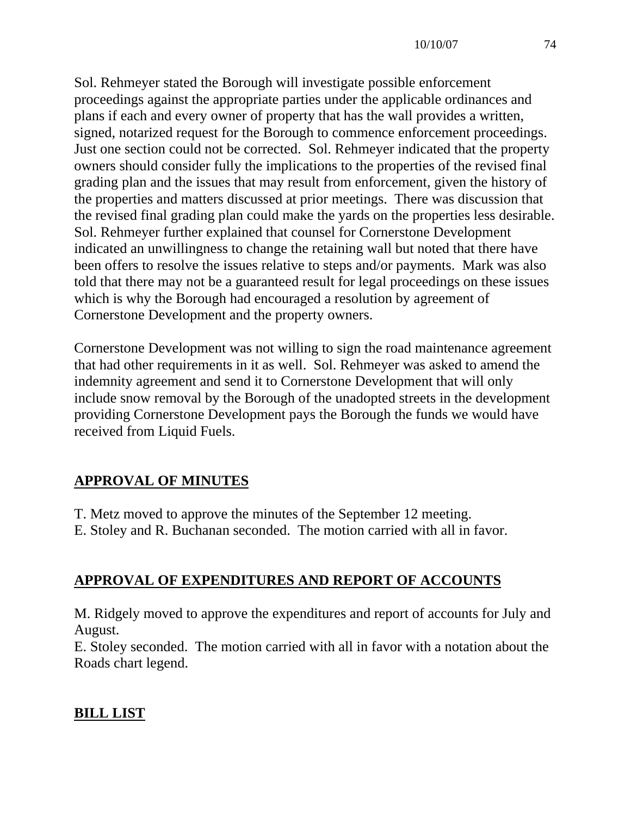Sol. Rehmeyer stated the Borough will investigate possible enforcement proceedings against the appropriate parties under the applicable ordinances and plans if each and every owner of property that has the wall provides a written, signed, notarized request for the Borough to commence enforcement proceedings. Just one section could not be corrected. Sol. Rehmeyer indicated that the property owners should consider fully the implications to the properties of the revised final grading plan and the issues that may result from enforcement, given the history of the properties and matters discussed at prior meetings. There was discussion that the revised final grading plan could make the yards on the properties less desirable. Sol. Rehmeyer further explained that counsel for Cornerstone Development indicated an unwillingness to change the retaining wall but noted that there have been offers to resolve the issues relative to steps and/or payments. Mark was also told that there may not be a guaranteed result for legal proceedings on these issues which is why the Borough had encouraged a resolution by agreement of Cornerstone Development and the property owners.

Cornerstone Development was not willing to sign the road maintenance agreement that had other requirements in it as well. Sol. Rehmeyer was asked to amend the indemnity agreement and send it to Cornerstone Development that will only include snow removal by the Borough of the unadopted streets in the development providing Cornerstone Development pays the Borough the funds we would have received from Liquid Fuels.

## **APPROVAL OF MINUTES**

- T. Metz moved to approve the minutes of the September 12 meeting.
- E. Stoley and R. Buchanan seconded. The motion carried with all in favor.

# **APPROVAL OF EXPENDITURES AND REPORT OF ACCOUNTS**

M. Ridgely moved to approve the expenditures and report of accounts for July and August.

E. Stoley seconded. The motion carried with all in favor with a notation about the Roads chart legend.

## **BILL LIST**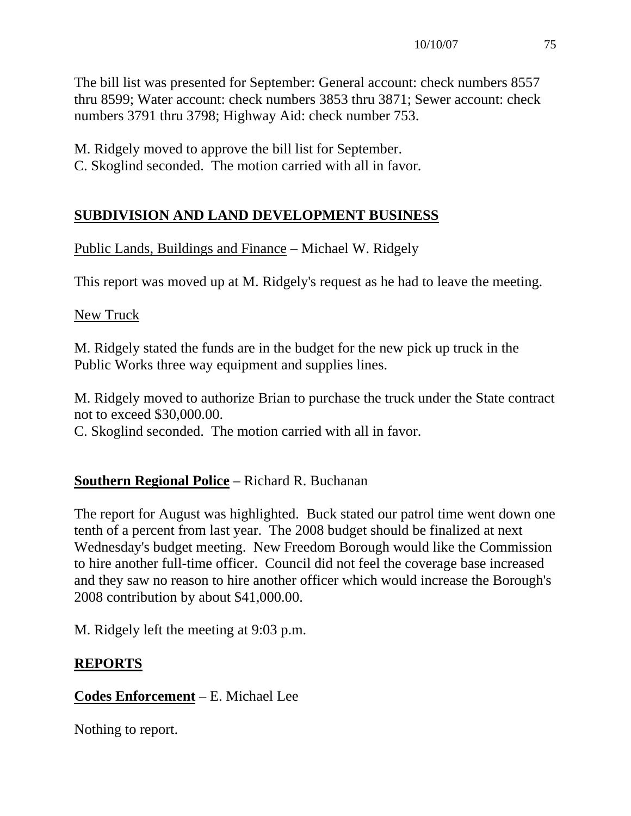The bill list was presented for September: General account: check numbers 8557 thru 8599; Water account: check numbers 3853 thru 3871; Sewer account: check numbers 3791 thru 3798; Highway Aid: check number 753.

M. Ridgely moved to approve the bill list for September.

C. Skoglind seconded. The motion carried with all in favor.

### **SUBDIVISION AND LAND DEVELOPMENT BUSINESS**

## Public Lands, Buildings and Finance – Michael W. Ridgely

This report was moved up at M. Ridgely's request as he had to leave the meeting.

New Truck

M. Ridgely stated the funds are in the budget for the new pick up truck in the Public Works three way equipment and supplies lines.

M. Ridgely moved to authorize Brian to purchase the truck under the State contract not to exceed \$30,000.00.

C. Skoglind seconded. The motion carried with all in favor.

## **Southern Regional Police** – Richard R. Buchanan

The report for August was highlighted. Buck stated our patrol time went down one tenth of a percent from last year. The 2008 budget should be finalized at next Wednesday's budget meeting. New Freedom Borough would like the Commission to hire another full-time officer. Council did not feel the coverage base increased and they saw no reason to hire another officer which would increase the Borough's 2008 contribution by about \$41,000.00.

M. Ridgely left the meeting at 9:03 p.m.

## **REPORTS**

## **Codes Enforcement** – E. Michael Lee

Nothing to report.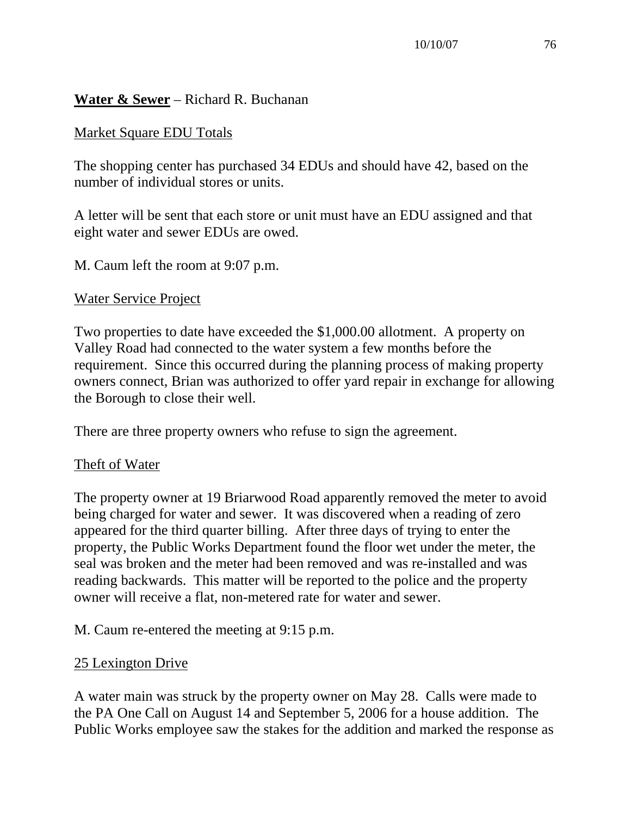### **Water & Sewer** – Richard R. Buchanan

### Market Square EDU Totals

The shopping center has purchased 34 EDUs and should have 42, based on the number of individual stores or units.

A letter will be sent that each store or unit must have an EDU assigned and that eight water and sewer EDUs are owed.

M. Caum left the room at 9:07 p.m.

#### Water Service Project

Two properties to date have exceeded the \$1,000.00 allotment. A property on Valley Road had connected to the water system a few months before the requirement. Since this occurred during the planning process of making property owners connect, Brian was authorized to offer yard repair in exchange for allowing the Borough to close their well.

There are three property owners who refuse to sign the agreement.

### Theft of Water

The property owner at 19 Briarwood Road apparently removed the meter to avoid being charged for water and sewer. It was discovered when a reading of zero appeared for the third quarter billing. After three days of trying to enter the property, the Public Works Department found the floor wet under the meter, the seal was broken and the meter had been removed and was re-installed and was reading backwards. This matter will be reported to the police and the property owner will receive a flat, non-metered rate for water and sewer.

### M. Caum re-entered the meeting at 9:15 p.m.

### 25 Lexington Drive

A water main was struck by the property owner on May 28. Calls were made to the PA One Call on August 14 and September 5, 2006 for a house addition. The Public Works employee saw the stakes for the addition and marked the response as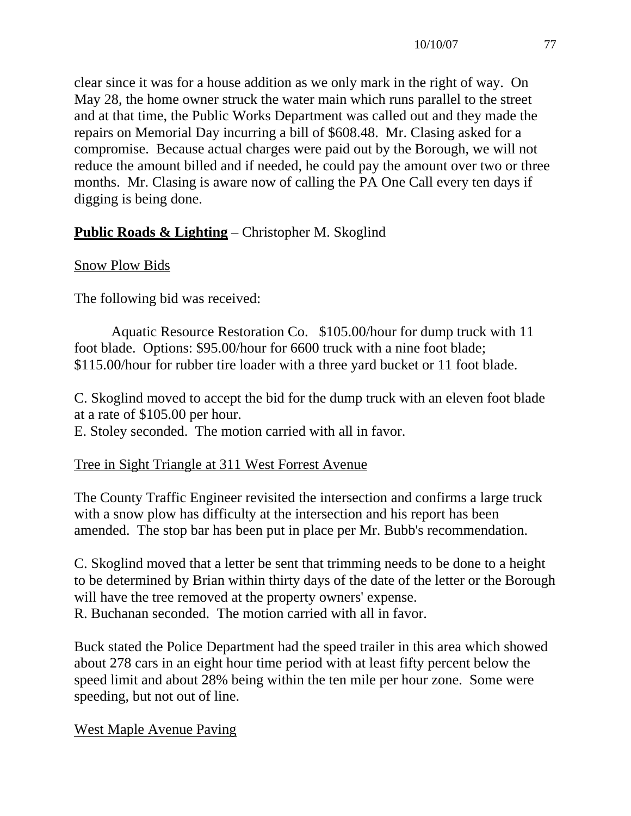clear since it was for a house addition as we only mark in the right of way. On May 28, the home owner struck the water main which runs parallel to the street and at that time, the Public Works Department was called out and they made the repairs on Memorial Day incurring a bill of \$608.48. Mr. Clasing asked for a compromise. Because actual charges were paid out by the Borough, we will not reduce the amount billed and if needed, he could pay the amount over two or three months. Mr. Clasing is aware now of calling the PA One Call every ten days if digging is being done.

## **Public Roads & Lighting** – Christopher M. Skoglind

### Snow Plow Bids

The following bid was received:

 Aquatic Resource Restoration Co. \$105.00/hour for dump truck with 11 foot blade. Options: \$95.00/hour for 6600 truck with a nine foot blade; \$115.00/hour for rubber tire loader with a three yard bucket or 11 foot blade.

C. Skoglind moved to accept the bid for the dump truck with an eleven foot blade at a rate of \$105.00 per hour.

E. Stoley seconded. The motion carried with all in favor.

### Tree in Sight Triangle at 311 West Forrest Avenue

The County Traffic Engineer revisited the intersection and confirms a large truck with a snow plow has difficulty at the intersection and his report has been amended. The stop bar has been put in place per Mr. Bubb's recommendation.

C. Skoglind moved that a letter be sent that trimming needs to be done to a height to be determined by Brian within thirty days of the date of the letter or the Borough will have the tree removed at the property owners' expense. R. Buchanan seconded. The motion carried with all in favor.

Buck stated the Police Department had the speed trailer in this area which showed about 278 cars in an eight hour time period with at least fifty percent below the speed limit and about 28% being within the ten mile per hour zone. Some were speeding, but not out of line.

West Maple Avenue Paving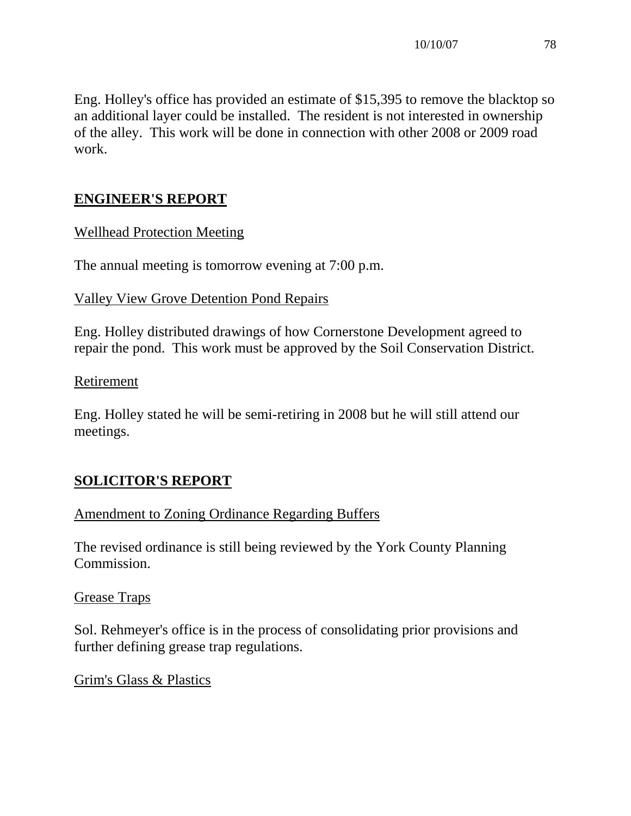Eng. Holley's office has provided an estimate of \$15,395 to remove the blacktop so an additional layer could be installed. The resident is not interested in ownership of the alley. This work will be done in connection with other 2008 or 2009 road work.

## **ENGINEER'S REPORT**

### Wellhead Protection Meeting

The annual meeting is tomorrow evening at 7:00 p.m.

### Valley View Grove Detention Pond Repairs

Eng. Holley distributed drawings of how Cornerstone Development agreed to repair the pond. This work must be approved by the Soil Conservation District.

### Retirement

Eng. Holley stated he will be semi-retiring in 2008 but he will still attend our meetings.

### **SOLICITOR'S REPORT**

### Amendment to Zoning Ordinance Regarding Buffers

The revised ordinance is still being reviewed by the York County Planning Commission.

### Grease Traps

Sol. Rehmeyer's office is in the process of consolidating prior provisions and further defining grease trap regulations.

### Grim's Glass & Plastics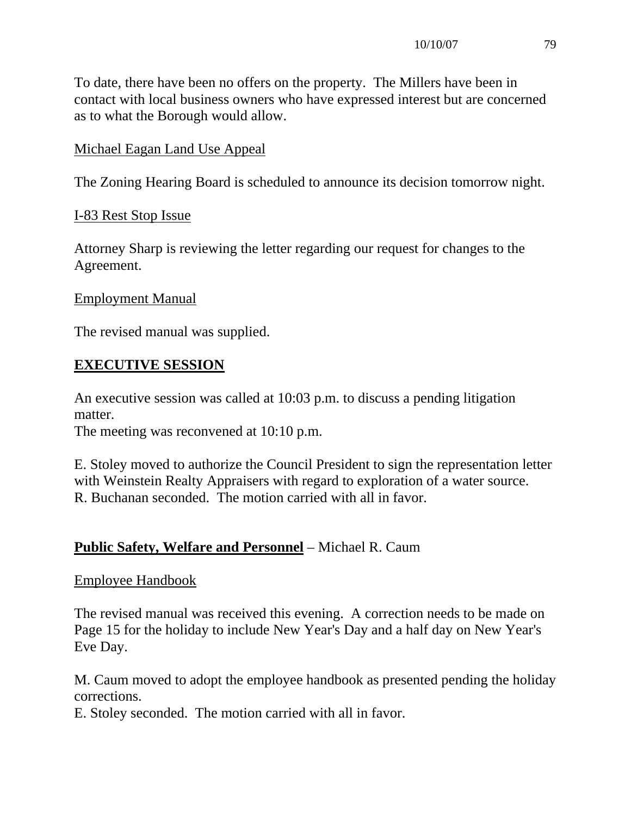To date, there have been no offers on the property. The Millers have been in contact with local business owners who have expressed interest but are concerned as to what the Borough would allow.

### Michael Eagan Land Use Appeal

The Zoning Hearing Board is scheduled to announce its decision tomorrow night.

#### I-83 Rest Stop Issue

Attorney Sharp is reviewing the letter regarding our request for changes to the Agreement.

#### Employment Manual

The revised manual was supplied.

### **EXECUTIVE SESSION**

An executive session was called at 10:03 p.m. to discuss a pending litigation matter.

The meeting was reconvened at 10:10 p.m.

E. Stoley moved to authorize the Council President to sign the representation letter with Weinstein Realty Appraisers with regard to exploration of a water source. R. Buchanan seconded. The motion carried with all in favor.

### **Public Safety, Welfare and Personnel** – Michael R. Caum

#### Employee Handbook

The revised manual was received this evening. A correction needs to be made on Page 15 for the holiday to include New Year's Day and a half day on New Year's Eve Day.

M. Caum moved to adopt the employee handbook as presented pending the holiday corrections.

E. Stoley seconded. The motion carried with all in favor.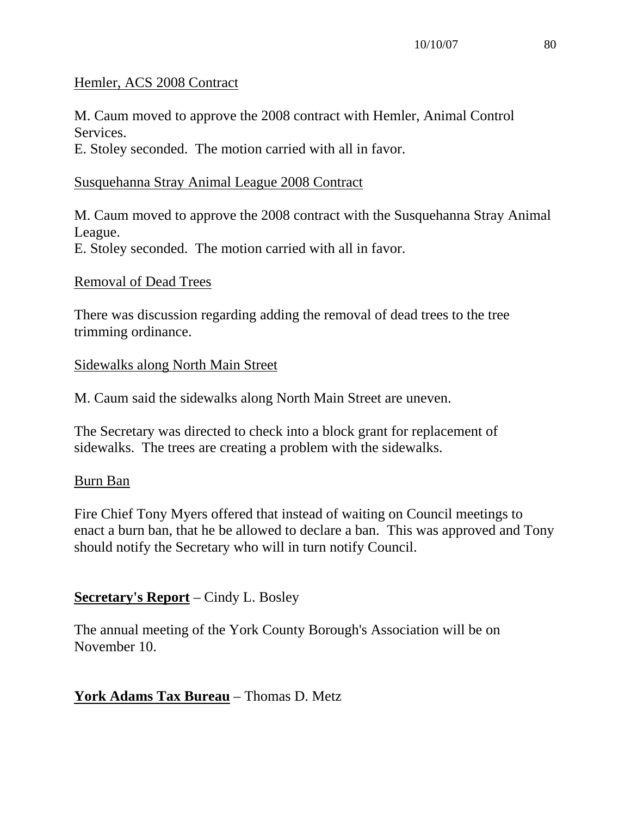#### Hemler, ACS 2008 Contract

M. Caum moved to approve the 2008 contract with Hemler, Animal Control Services. E. Stoley seconded. The motion carried with all in favor.

#### Susquehanna Stray Animal League 2008 Contract

M. Caum moved to approve the 2008 contract with the Susquehanna Stray Animal League. E. Stoley seconded. The motion carried with all in favor.

#### Removal of Dead Trees

There was discussion regarding adding the removal of dead trees to the tree trimming ordinance.

#### Sidewalks along North Main Street

M. Caum said the sidewalks along North Main Street are uneven.

The Secretary was directed to check into a block grant for replacement of sidewalks. The trees are creating a problem with the sidewalks.

### Burn Ban

Fire Chief Tony Myers offered that instead of waiting on Council meetings to enact a burn ban, that he be allowed to declare a ban. This was approved and Tony should notify the Secretary who will in turn notify Council.

### **Secretary's Report** – Cindy L. Bosley

The annual meeting of the York County Borough's Association will be on November 10.

### **York Adams Tax Bureau** – Thomas D. Metz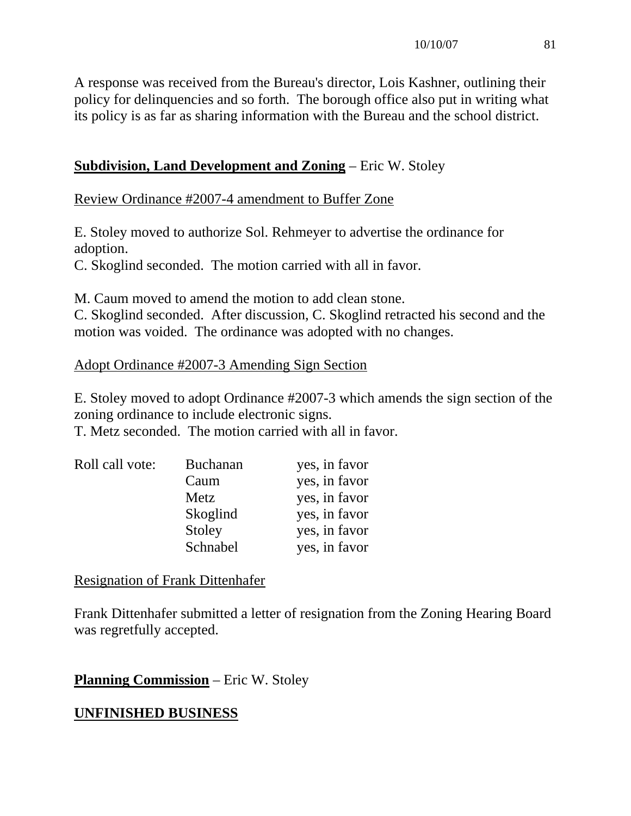A response was received from the Bureau's director, Lois Kashner, outlining their policy for delinquencies and so forth. The borough office also put in writing what its policy is as far as sharing information with the Bureau and the school district.

### **Subdivision, Land Development and Zoning** – Eric W. Stoley

Review Ordinance #2007-4 amendment to Buffer Zone

E. Stoley moved to authorize Sol. Rehmeyer to advertise the ordinance for adoption.

C. Skoglind seconded. The motion carried with all in favor.

M. Caum moved to amend the motion to add clean stone.

C. Skoglind seconded. After discussion, C. Skoglind retracted his second and the motion was voided. The ordinance was adopted with no changes.

### Adopt Ordinance #2007-3 Amending Sign Section

E. Stoley moved to adopt Ordinance #2007-3 which amends the sign section of the zoning ordinance to include electronic signs.

T. Metz seconded. The motion carried with all in favor.

| Roll call vote: | <b>Buchanan</b> | yes, in favor |
|-----------------|-----------------|---------------|
|                 | Caum            | yes, in favor |
|                 | Metz            | yes, in favor |
|                 | Skoglind        | yes, in favor |
|                 | Stoley          | yes, in favor |
|                 | Schnabel        | yes, in favor |

Resignation of Frank Dittenhafer

Frank Dittenhafer submitted a letter of resignation from the Zoning Hearing Board was regretfully accepted.

**Planning Commission** – Eric W. Stoley

### **UNFINISHED BUSINESS**